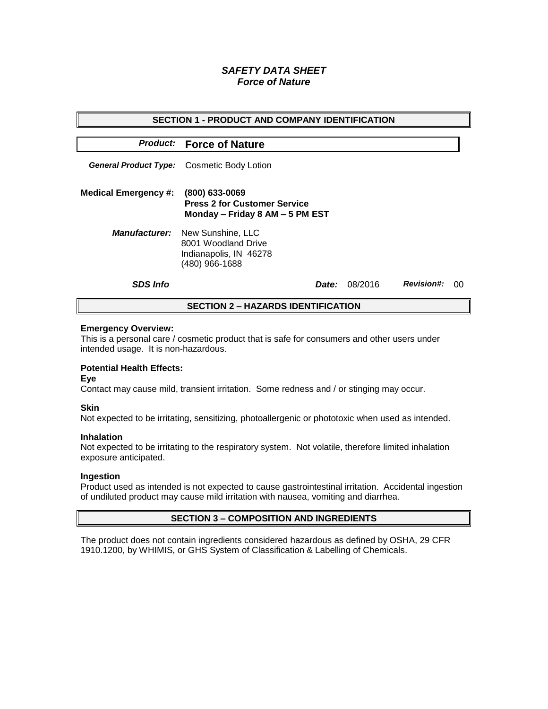# *SAFETY DATA SHEET Force of Nature*

| <b>SECTION 1 - PRODUCT AND COMPANY IDENTIFICATION</b> |                                                                                                           |              |         |                   |    |  |
|-------------------------------------------------------|-----------------------------------------------------------------------------------------------------------|--------------|---------|-------------------|----|--|
|                                                       |                                                                                                           |              |         |                   |    |  |
|                                                       | <b>Product:</b> Force of Nature                                                                           |              |         |                   |    |  |
|                                                       | <b>General Product Type:</b> Cosmetic Body Lotion                                                         |              |         |                   |    |  |
| <b>Medical Emergency #:</b>                           | (800) 633-0069<br><b>Press 2 for Customer Service</b><br>Monday - Friday 8 AM - 5 PM EST                  |              |         |                   |    |  |
|                                                       | <b>Manufacturer:</b> New Sunshine, LLC<br>8001 Woodland Drive<br>Indianapolis, IN 46278<br>(480) 966-1688 |              |         |                   |    |  |
| <b>SDS Info</b>                                       |                                                                                                           | <i>Date:</i> | 08/2016 | <b>Revision#:</b> | ററ |  |
| <b>SECTION 2 – HAZARDS IDENTIFICATION</b>             |                                                                                                           |              |         |                   |    |  |

#### **Emergency Overview:**

This is a personal care / cosmetic product that is safe for consumers and other users under intended usage. It is non-hazardous.

## **Potential Health Effects:**

**Eye**

Contact may cause mild, transient irritation. Some redness and / or stinging may occur.

## **Skin**

Not expected to be irritating, sensitizing, photoallergenic or phototoxic when used as intended.

#### **Inhalation**

Not expected to be irritating to the respiratory system. Not volatile, therefore limited inhalation exposure anticipated.

## **Ingestion**

Product used as intended is not expected to cause gastrointestinal irritation. Accidental ingestion of undiluted product may cause mild irritation with nausea, vomiting and diarrhea.

## **SECTION 3 – COMPOSITION AND INGREDIENTS**

The product does not contain ingredients considered hazardous as defined by OSHA, 29 CFR 1910.1200, by WHIMIS, or GHS System of Classification & Labelling of Chemicals.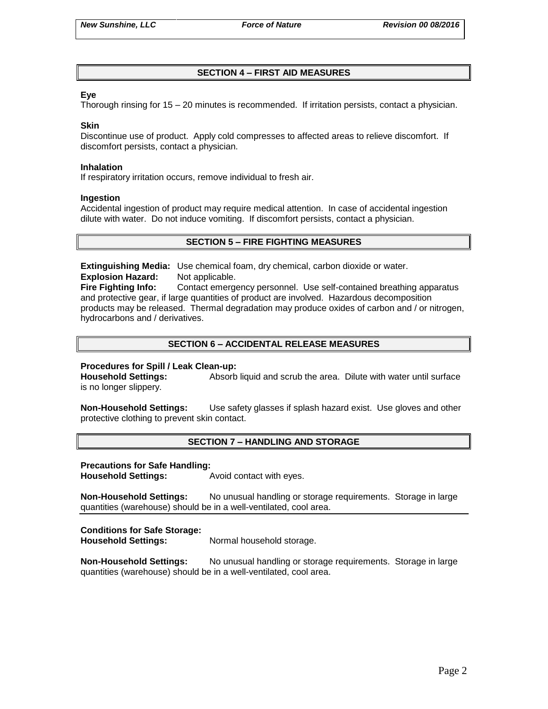# **SECTION 4 – FIRST AID MEASURES**

## **Eye**

Thorough rinsing for 15 – 20 minutes is recommended. If irritation persists, contact a physician.

#### **Skin**

Discontinue use of product. Apply cold compresses to affected areas to relieve discomfort. If discomfort persists, contact a physician.

#### **Inhalation**

If respiratory irritation occurs, remove individual to fresh air.

#### **Ingestion**

Accidental ingestion of product may require medical attention. In case of accidental ingestion dilute with water. Do not induce vomiting. If discomfort persists, contact a physician.

## **SECTION 5 – FIRE FIGHTING MEASURES**

**Extinguishing Media:** Use chemical foam, dry chemical, carbon dioxide or water. **Explosion Hazard:** Not applicable.

**Fire Fighting Info:** Contact emergency personnel. Use self-contained breathing apparatus and protective gear, if large quantities of product are involved. Hazardous decomposition products may be released. Thermal degradation may produce oxides of carbon and / or nitrogen, hydrocarbons and / derivatives.

## **SECTION 6 – ACCIDENTAL RELEASE MEASURES**

## **Procedures for Spill / Leak Clean-up:**

**Household Settings:** Absorb liquid and scrub the area. Dilute with water until surface is no longer slippery.

**Non-Household Settings:** Use safety glasses if splash hazard exist. Use gloves and other protective clothing to prevent skin contact.

## **SECTION 7 – HANDLING AND STORAGE**

#### **Precautions for Safe Handling:**

**Household Settings:** Avoid contact with eyes.

**Non-Household Settings:** No unusual handling or storage requirements. Storage in large quantities (warehouse) should be in a well-ventilated, cool area.

## **Conditions for Safe Storage:**

**Household Settings:** Normal household storage.

**Non-Household Settings:** No unusual handling or storage requirements. Storage in large quantities (warehouse) should be in a well-ventilated, cool area.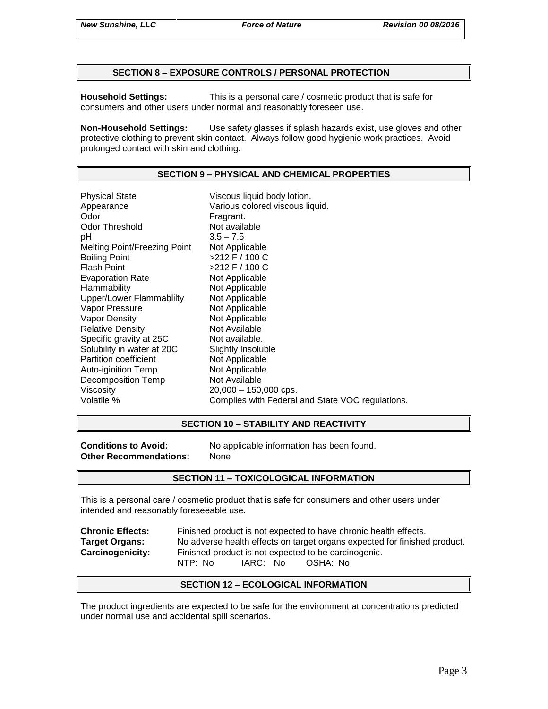## **SECTION 8 – EXPOSURE CONTROLS / PERSONAL PROTECTION**

**Household Settings:** This is a personal care / cosmetic product that is safe for consumers and other users under normal and reasonably foreseen use.

**Non-Household Settings:** Use safety glasses if splash hazards exist, use gloves and other protective clothing to prevent skin contact. Always follow good hygienic work practices. Avoid prolonged contact with skin and clothing.

# **SECTION 9 – PHYSICAL AND CHEMICAL PROPERTIES**

Physical State Viscous liquid body lotion. Appearance **Various colored viscous liquid.**<br>
Odor Communication Colore Fragrant. Odor Threshold Not available pH 3.5 – 7.5 Melting Point/Freezing Point Not Applicable Boiling Point  $>212$  F / 100 C Flash Point  $>212$  F / 100 C Evaporation Rate Not Applicable Flammability Not Applicable Upper/Lower Flammablilty Not Applicable Vapor Pressure Not Applicable Vapor Density Not Applicable Relative Density Not Available Specific gravity at 25C Not available. Solubility in water at 20C Slightly Insoluble<br>
Partition coefficient
Subsetted Not Applicable Partition coefficient Auto-iginition Temp Not Applicable Decomposition Temp Not Available Viscosity 20,000 – 150,000 cps. Volatile % Complies with Federal and State VOC regulations.

## **SECTION 10 – STABILITY AND REACTIVITY**

**Other Recommendations:** None

**Conditions to Avoid:** No applicable information has been found.

## **SECTION 11 – TOXICOLOGICAL INFORMATION**

This is a personal care / cosmetic product that is safe for consumers and other users under intended and reasonably foreseeable use.

**Chronic Effects:** Finished product is not expected to have chronic health effects. **Target Organs:** No adverse health effects on target organs expected for finished product. **Carcinogenicity:** Finished product is not expected to be carcinogenic. NTP: No IARC: No OSHA: No

## **SECTION 12 – ECOLOGICAL INFORMATION**

The product ingredients are expected to be safe for the environment at concentrations predicted under normal use and accidental spill scenarios.